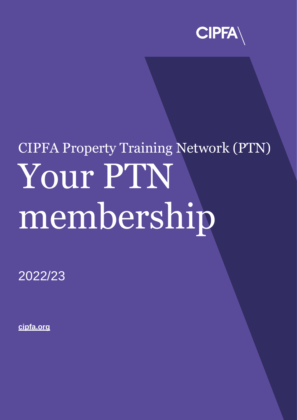

# CIPFA Property Training Network (PTN) Your PTN membership

2022/23

**[cipfa.org](https://www.cipfa.org/)**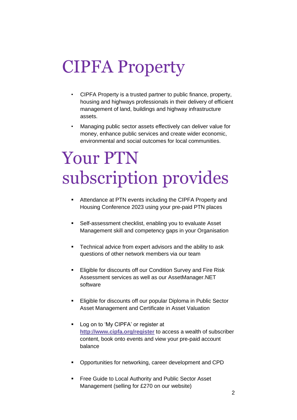## CIPFA Property

- CIPFA Property is a trusted partner to public finance, property, housing and highways professionals in their delivery of efficient management of land, buildings and highway infrastructure assets.
- Managing public sector assets effectively can deliver value for money, enhance public services and create wider economic, environmental and social outcomes for local communities.

## Your PTN subscription provides

- Attendance at PTN events including the CIPFA Property and Housing Conference 2023 using your pre-paid PTN places
- Self-assessment checklist, enabling you to evaluate Asset Management skill and competency gaps in your Organisation
- **EXEC** Technical advice from expert advisors and the ability to ask questions of other network members via our team
- **Eligible for discounts off our Condition Survey and Fire Risk** Assessment services as well as our AssetManager.NET software
- Eligible for discounts off our popular Diploma in Public Sector Asset Management and Certificate in Asset Valuation
- Log on to 'My CIPFA' or register at **<http://www.cipfa.org/register>** to access a wealth of subscriber content, book onto events and view your pre-paid account balance
- Opportunities for networking, career development and CPD
- Free Guide to Local Authority and Public Sector Asset Management (selling for £270 on our website)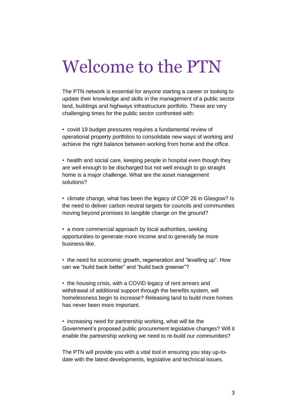## Welcome to the PTN

The PTN network is essential for anyone starting a career or looking to update their knowledge and skills in the management of a public sector land, buildings and highways infrastructure portfolio. These are very challenging times for the public sector confronted with:

• covid 19 budget pressures requires a fundamental review of operational property portfolios to consolidate new ways of working and achieve the right balance between working from home and the office.

• health and social care, keeping people in hospital even though they are well enough to be discharged but not well enough to go straight home is a major challenge. What are the asset management solutions?

• climate change, what has been the legacy of COP 26 in Glasgow? Is the need to deliver carbon neutral targets for councils and communities moving beyond promises to tangible change on the ground?

• a more commercial approach by local authorities, seeking opportunities to generate more income and to generally be more business-like.

• the need for economic growth, regeneration and "levelling up". How can we "build back better" and "build back greener"?

• the housing crisis, with a COVID legacy of rent arrears and withdrawal of additional support through the benefits system, will homelessness begin to increase? Releasing land to build more homes has never been more important.

• increasing need for partnership working, what will be the Government's proposed public procurement legislative changes? Will it enable the partnership working we need to re-build our communities?

The PTN will provide you with a vital tool in ensuring you stay up-todate with the latest developments, legislative and technical issues.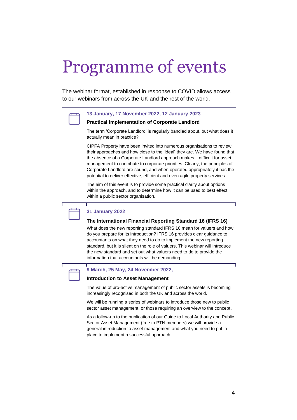## Programme of events

The webinar format, established in response to COVID allows access to our webinars from across the UK and the rest of the world.



## **13 January, 17 November 2022, 12 January 2023**

### **Practical Implementation of Corporate Landlord**

The term 'Corporate Landlord' is regularly bandied about, but what does it actually mean in practice?

CIPFA Property have been invited into numerous organisations to review their approaches and how close to the 'ideal' they are. We have found that the absence of a Corporate Landlord approach makes it difficult for asset management to contribute to corporate priorities. Clearly, the principles of Corporate Landlord are sound, and when operated appropriately it has the potential to deliver effective, efficient and even agile property services.

The aim of this event is to provide some practical clarity about options within the approach, and to determine how it can be used to best effect within a public sector organisation.



### **The International Financial Reporting Standard 16 (IFRS 16)**

What does the new reporting standard IFRS 16 mean for valuers and how do you prepare for its introduction? IFRS 16 provides clear guidance to accountants on what they need to do to implement the new reporting standard, but it is silent on the role of valuers. This webinar will introduce the new standard and set out what valuers need to do to provide the information that accountants will be demanding.



### **9 March, 25 May, 24 November 2022,**

#### **Introduction to Asset Management**

The value of pro-active management of public sector assets is becoming increasingly recognised in both the UK and across the world.

We will be running a series of webinars to introduce those new to public sector asset management, or those requiring an overview to the concept.

As a follow-up to the publication of our Guide to Local Authority and Public Sector Asset Management (free to PTN members) we will provide a general introduction to asset management and what you need to put in place to implement a successful approach.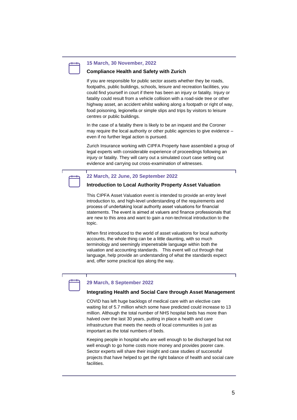#### **15 March, 30 November, 2022**

### **Compliance Health and Safety with Zurich**

If you are responsible for public sector assets whether they be roads, footpaths, public buildings, schools, leisure and recreation facilities, you could find yourself in court if there has been an injury or fatality. Injury or fatality could result from a vehicle collision with a road-side tree or other highway asset, an accident whilst walking along a footpath or right of way, food poisoning, legionella or simple slips and trips by visitors to leisure centres or public buildings.

In the case of a fatality there is likely to be an inquest and the Coroner may require the local authority or other public agencies to give evidence – even if no further legal action is pursued.

Zurich Insurance working with CIPFA Property have assembled a group of legal experts with considerable experience of proceedings following an injury or fatality. They will carry out a simulated court case setting out evidence and carrying out cross-examination of witnesses.

#### **22 March, 22 June, 20 September 2022**

#### **Introduction to Local Authority Property Asset Valuation**

This CIPFA Asset Valuation event is intended to provide an entry level introduction to, and high-level understanding of the requirements and process of undertaking local authority asset valuations for financial statements. The event is aimed at valuers and finance professionals that are new to this area and want to gain a non-technical introduction to the topic.

When first introduced to the world of asset valuations for local authority accounts, the whole thing can be a little daunting, with so much terminology and seemingly impenetrable language within both the valuation and accounting standards. This event will cut through that language, help provide an understanding of what the standards expect and, offer some practical tips along the way.

## **29 March, 8 September 2022**

#### **Integrating Health and Social Care through Asset Management**

COVID has left huge backlogs of medical care with an elective care waiting list of 5.7 million which some have predicted could increase to 13 million. Although the total number of NHS hospital beds has more than halved over the last 30 years, putting in place a health and care infrastructure that meets the needs of local communities is just as important as the total numbers of beds.

Keeping people in hospital who are well enough to be discharged but not well enough to go home costs more money and provides poorer care. Sector experts will share their insight and case studies of successful projects that have helped to get the right balance of health and social care facilities.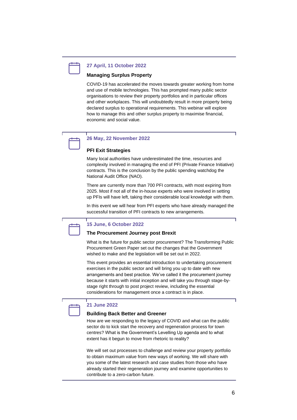

#### **27 April, 11 October 2022**

### **Managing Surplus Property**

COVID-19 has accelerated the moves towards greater working from home and use of mobile technologies. This has prompted many public sector organisations to review their property portfolios and in particular offices and other workplaces. This will undoubtedly result in more property being declared surplus to operational requirements. This webinar will explore how to manage this and other surplus property to maximise financial, economic and social value.

## **26 May, 22 November 2022**

## **PFI Exit Strategies**

Many local authorities have underestimated the time, resources and complexity involved in managing the end of PFI (Private Finance Initiative) contracts. This is the conclusion by the public spending watchdog the National Audit Office (NAO).

There are currently more than 700 PFI contracts, with most expiring from 2025. Most if not all of the in-house experts who were involved in setting up PFIs will have left, taking their considerable local knowledge with them.

In this event we will hear from PFI experts who have already managed the successful transition of PFI contracts to new arrangements.



#### **15 June, 6 October 2022**

### **The Procurement Journey post Brexit**

What is the future for public sector procurement? The Transforming Public Procurement Green Paper set out the changes that the Government wished to make and the legislation will be set out in 2022.

This event provides an essential introduction to undertaking procurement exercises in the public sector and will bring you up to date with new arrangements and best practice. We've called it the procurement journey because it starts with initial inception and will take you through stage-bystage right through to post project review, including the essential considerations for management once a contract is in place.

## **21 June 2022**

### **Building Back Better and Greener**

How are we responding to the legacy of COVID and what can the public sector do to kick start the recovery and regeneration process for town centres? What is the Government's Levelling Up agenda and to what extent has it begun to move from rhetoric to reality?

We will set out processes to challenge and review your property portfolio to obtain maximum value from new ways of working. We will share with you some of the latest research and case studies from those who have already started their regeneration journey and examine opportunities to contribute to a zero-carbon future.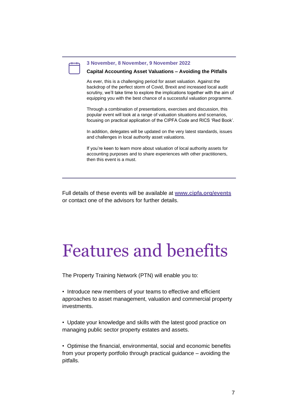### **3 November, 8 November, 9 November 2022**

### **Capital Accounting Asset Valuations – Avoiding the Pitfalls**

As ever, this is a challenging period for asset valuation. Against the backdrop of the perfect storm of Covid, Brexit and increased local audit scrutiny, we'll take time to explore the implications together with the aim of equipping you with the best chance of a successful valuation programme.

Through a combination of presentations, exercises and discussion, this popular event will look at a range of valuation situations and scenarios, focusing on practical application of the CIPFA Code and RICS 'Red Book'.

In addition, delegates will be updated on the very latest standards, issues and challenges in local authority asset valuations.

If you're keen to learn more about valuation of local authority assets for accounting purposes and to share experiences with other practitioners, then this event is a must.

Full details of these events will be available at **[www.cipfa.org/events](http://www.cipfa.org/events)** or contact one of the advisors for further details.

## Features and benefits

The Property Training Network (PTN) will enable you to:

• Introduce new members of your teams to effective and efficient approaches to asset management, valuation and commercial property investments.

• Update your knowledge and skills with the latest good practice on managing public sector property estates and assets.

• Optimise the financial, environmental, social and economic benefits from your property portfolio through practical guidance – avoiding the pitfalls.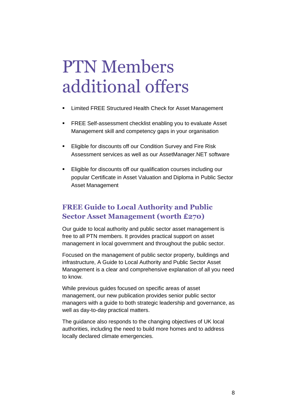## PTN Members additional offers

- Limited FREE Structured Health Check for Asset Management
- FREE Self-assessment checklist enabling you to evaluate Asset Management skill and competency gaps in your organisation
- **Eligible for discounts off our Condition Survey and Fire Risk** Assessment services as well as our AssetManager.NET software
- **Eligible for discounts off our qualification courses including our** popular Certificate in Asset Valuation and Diploma in Public Sector Asset Management

## **FREE Guide to Local Authority and Public Sector Asset Management (worth £270)**

Our guide to local authority and public sector asset management is free to all PTN members. It provides practical support on asset management in local government and throughout the public sector.

Focused on the management of public sector property, buildings and infrastructure, A Guide to Local Authority and Public Sector Asset Management is a clear and comprehensive explanation of all you need to know.

While previous guides focused on specific areas of asset management, our new publication provides senior public sector managers with a guide to both strategic leadership and governance, as well as day-to-day practical matters.

The guidance also responds to the changing objectives of UK local authorities, including the need to build more homes and to address locally declared climate emergencies.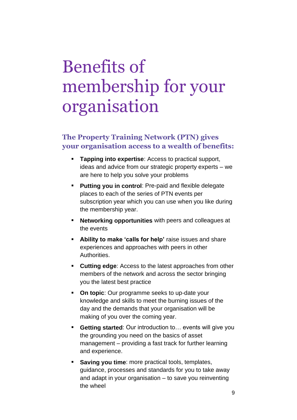## Benefits of membership for your organisation

## **The Property Training Network (PTN) gives your organisation access to a wealth of benefits:**

- **Tapping into expertise**: Access to practical support, ideas and advice from our strategic property experts – we are here to help you solve your problems
- **Putting you in control**: Pre-paid and flexible delegate places to each of the series of PTN events per subscription year which you can use when you like during the membership year.
- **Networking opportunities** with peers and colleagues at the events
- **Ability to make 'calls for help'** raise issues and share experiences and approaches with peers in other Authorities.
- **Cutting edge**: Access to the latest approaches from other members of the network and across the sector bringing you the latest best practice
- **On topic**: Our programme seeks to up-date your knowledge and skills to meet the burning issues of the day and the demands that your organisation will be making of you over the coming year.
- **Getting started**: Our introduction to... events will give you the grounding you need on the basics of asset management – providing a fast track for further learning and experience.
- **Saving you time**: more practical tools, templates, guidance, processes and standards for you to take away and adapt in your organisation – to save you reinventing the wheel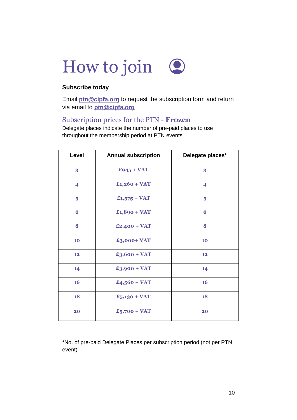

## **Subscribe today**

Email **[ptn@cipfa.org](mailto:ptn@cipfa.org)** to request the subscription form and return via email to **[ptn@cipfa.org](mailto:ptn@cipfa.org)**

## Subscription prices for the PTN - **Frozen**

Delegate places indicate the number of pre-paid places to use throughout the membership period at PTN events

| Level                   | <b>Annual subscription</b> | Delegate places*        |
|-------------------------|----------------------------|-------------------------|
| 3                       | $£945 + VAT$               | 3                       |
| $\overline{\mathbf{4}}$ | $£1,260 + VAT$             | $\overline{\mathbf{4}}$ |
| 5                       | $£1,575 + VAT$             | 5                       |
| 6                       | $£1,890 + VAT$             | 6                       |
| 8                       | $£2,400 + VAT$             | 8                       |
| 10                      | £3,000+ VAT                | 10                      |
| 12                      | $£3,600 + VAT$             | 12                      |
| 14                      | $£3,900 + VAT$             | 14                      |
| <b>16</b>               | $£4,560 + VAT$             | <b>16</b>               |
| 18                      | $£5,130 + VAT$             | 18                      |
| 20                      | $£5,700 + VAT$             | 20                      |

**\***No. of pre-paid Delegate Places per subscription period (not per PTN event)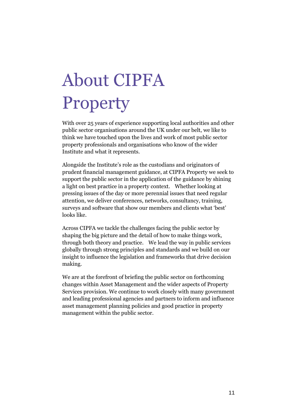## About CIPFA **Property**

With over 25 years of experience supporting local authorities and other public sector organisations around the UK under our belt, we like to think we have touched upon the lives and work of most public sector property professionals and organisations who know of the wider Institute and what it represents.

Alongside the Institute's role as the custodians and originators of prudent financial management guidance, at CIPFA Property we seek to support the public sector in the application of the guidance by shining a light on best practice in a property context. Whether looking at pressing issues of the day or more perennial issues that need regular attention, we deliver conferences, networks, consultancy, training, surveys and software that show our members and clients what 'best' looks like.

Across CIPFA we tackle the challenges facing the public sector by shaping the big picture and the detail of how to make things work, through both theory and practice. We lead the way in public services globally through strong principles and standards and we build on our insight to influence the legislation and frameworks that drive decision making.

We are at the forefront of briefing the public sector on forthcoming changes within Asset Management and the wider aspects of Property Services provision. We continue to work closely with many government and leading professional agencies and partners to inform and influence asset management planning policies and good practice in property management within the public sector.